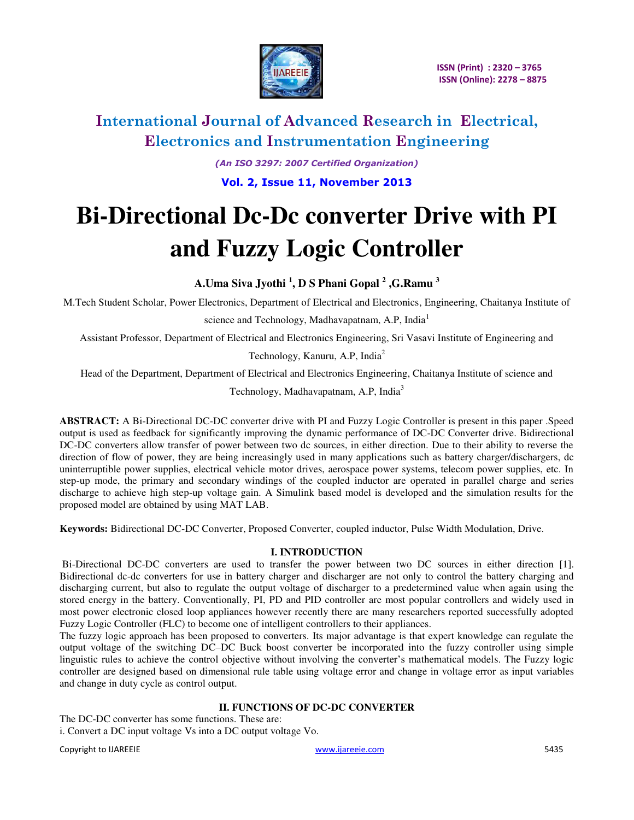

*(An ISO 3297: 2007 Certified Organization)* 

**Vol. 2, Issue 11, November 2013**

# **Bi-Directional Dc-Dc converter Drive with PI and Fuzzy Logic Controller**

**A.Uma Siva Jyothi <sup>1</sup> , D S Phani Gopal <sup>2</sup> ,G.Ramu <sup>3</sup>**

M.Tech Student Scholar, Power Electronics, Department of Electrical and Electronics, Engineering, Chaitanya Institute of

science and Technology, Madhavapatnam, A.P, India<sup>1</sup>

Assistant Professor, Department of Electrical and Electronics Engineering, Sri Vasavi Institute of Engineering and

Technology, Kanuru, A.P, India<sup>2</sup>

Head of the Department, Department of Electrical and Electronics Engineering, Chaitanya Institute of science and

Technology, Madhavapatnam, A.P, India<sup>3</sup>

**ABSTRACT:** A Bi-Directional DC-DC converter drive with PI and Fuzzy Logic Controller is present in this paper .Speed output is used as feedback for significantly improving the dynamic performance of DC-DC Converter drive. Bidirectional DC-DC converters allow transfer of power between two dc sources, in either direction. Due to their ability to reverse the direction of flow of power, they are being increasingly used in many applications such as battery charger/dischargers, dc uninterruptible power supplies, electrical vehicle motor drives, aerospace power systems, telecom power supplies, etc. In step-up mode, the primary and secondary windings of the coupled inductor are operated in parallel charge and series discharge to achieve high step-up voltage gain. A Simulink based model is developed and the simulation results for the proposed model are obtained by using MAT LAB.

**Keywords:** Bidirectional DC-DC Converter, Proposed Converter, coupled inductor, Pulse Width Modulation, Drive.

### **I. INTRODUCTION**

Bi-Directional DC-DC converters are used to transfer the power between two DC sources in either direction [1]. Bidirectional dc-dc converters for use in battery charger and discharger are not only to control the battery charging and discharging current, but also to regulate the output voltage of discharger to a predetermined value when again using the stored energy in the battery. Conventionally, PI, PD and PID controller are most popular controllers and widely used in most power electronic closed loop appliances however recently there are many researchers reported successfully adopted Fuzzy Logic Controller (FLC) to become one of intelligent controllers to their appliances.

The fuzzy logic approach has been proposed to converters. Its major advantage is that expert knowledge can regulate the output voltage of the switching DC–DC Buck boost converter be incorporated into the fuzzy controller using simple linguistic rules to achieve the control objective without involving the converter's mathematical models. The Fuzzy logic controller are designed based on dimensional rule table using voltage error and change in voltage error as input variables and change in duty cycle as control output.

### **II. FUNCTIONS OF DC-DC CONVERTER**

The DC-DC converter has some functions. These are: i. Convert a DC input voltage Vs into a DC output voltage Vo.

Copyright to IJAREEIE [www.ijareeie.com](http://www.ijareeie.com/) 5435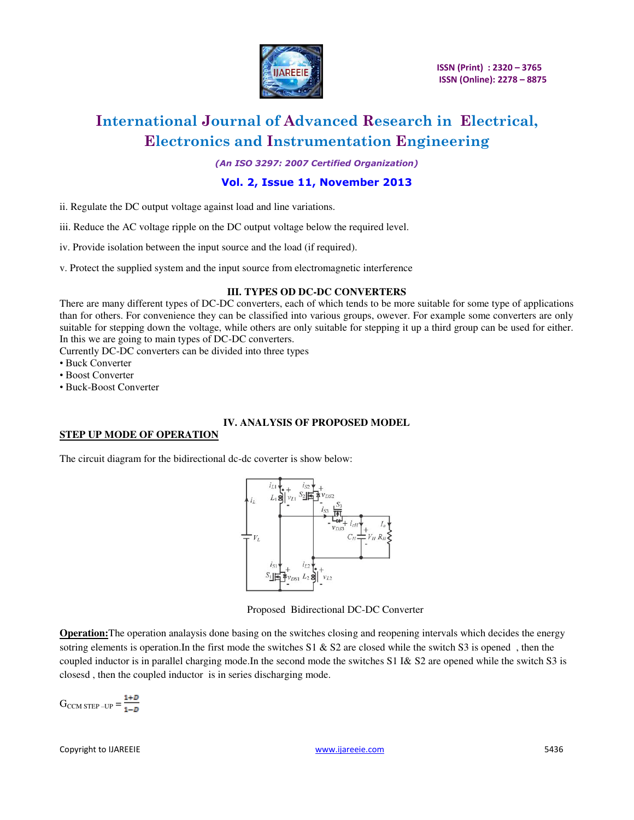

*(An ISO 3297: 2007 Certified Organization)* 

### **Vol. 2, Issue 11, November 2013**

- ii. Regulate the DC output voltage against load and line variations.
- iii. Reduce the AC voltage ripple on the DC output voltage below the required level.
- iv. Provide isolation between the input source and the load (if required).
- v. Protect the supplied system and the input source from electromagnetic interference

#### **III. TYPES OD DC-DC CONVERTERS**

There are many different types of DC-DC converters, each of which tends to be more suitable for some type of applications than for others. For convenience they can be classified into various groups, owever. For example some converters are only suitable for stepping down the voltage, while others are only suitable for stepping it up a third group can be used for either. In this we are going to main types of DC-DC converters.

Currently DC-DC converters can be divided into three types

- Buck Converter
- Boost Converter
- Buck-Boost Converter

#### **IV. ANALYSIS OF PROPOSED MODEL**

#### **STEP UP MODE OF OPERATION**

The circuit diagram for the bidirectional dc-dc coverter is show below:



Proposed Bidirectional DC-DC Converter

**Operation:**The operation analaysis done basing on the switches closing and reopening intervals which decides the energy sotring elements is operation.In the first mode the switches  $S1 \& S2$  are closed while the switch S3 is opened, then the coupled inductor is in parallel charging mode.In the second mode the switches S1 I& S2 are opened while the switch S3 is closesd , then the coupled inductor is in series discharging mode.

 $G_{\text{CCM STEP}-\text{UP}} = \frac{1+D}{1-D}$ 

Copyright to IJAREEIE [www.ijareeie.com](http://www.ijareeie.com/) 5436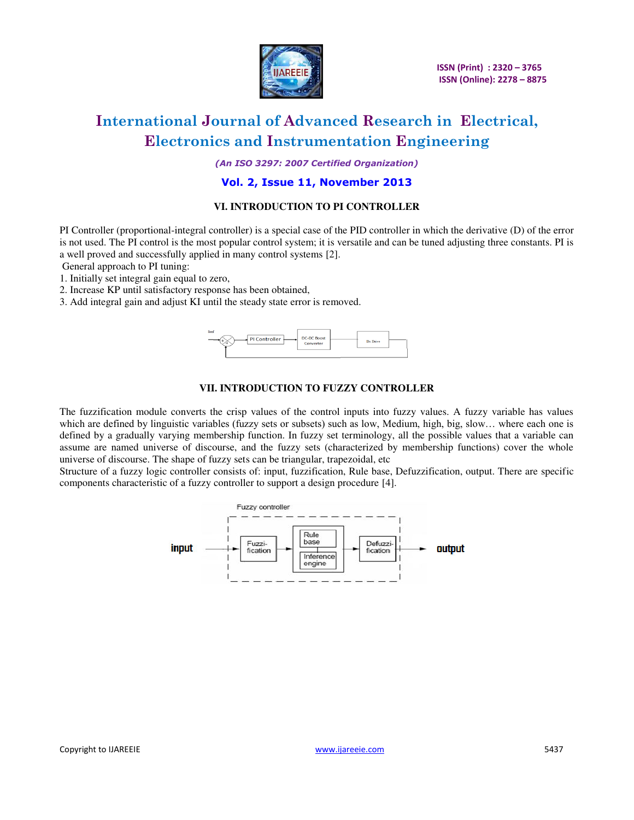

*(An ISO 3297: 2007 Certified Organization)* 

### **Vol. 2, Issue 11, November 2013**

#### **VI. INTRODUCTION TO PI CONTROLLER**

PI Controller (proportional-integral controller) is a special case of the PID controller in which the derivative (D) of the error is not used. The PI control is the most popular control system; it is versatile and can be tuned adjusting three constants. PI is a well proved and successfully applied in many control systems [2].

General approach to PI tuning:

- 1. Initially set integral gain equal to zero,
- 2. Increase KP until satisfactory response has been obtained,
- 3. Add integral gain and adjust KI until the steady state error is removed.



#### **VII. INTRODUCTION TO FUZZY CONTROLLER**

The fuzzification module converts the crisp values of the control inputs into fuzzy values. A fuzzy variable has values which are defined by linguistic variables (fuzzy sets or subsets) such as low, Medium, high, big, slow… where each one is defined by a gradually varying membership function. In fuzzy set terminology, all the possible values that a variable can assume are named universe of discourse, and the fuzzy sets (characterized by membership functions) cover the whole universe of discourse. The shape of fuzzy sets can be triangular, trapezoidal, etc

Structure of a fuzzy logic controller consists of: input, fuzzification, Rule base, Defuzzification, output. There are specific components characteristic of a fuzzy controller to support a design procedure [4].

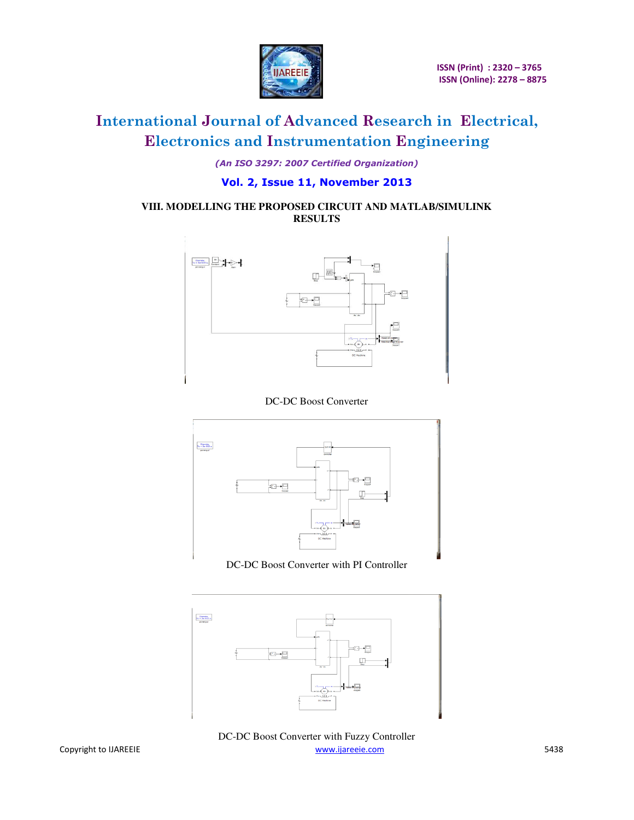

*(An ISO 3297: 2007 Certified Organization)* 

## **Vol. 2, Issue 11, November 2013**

### **VIII. MODELLING THE PROPOSED CIRCUIT AND MATLAB/SIMULINK RESULTS**



### DC-DC Boost Converter



DC-DC Boost Converter with PI Controller



Copyright to IJAREEIE **Example 2018** S438 [www.ijareeie.com](http://www.ijareeie.com/) 5438 DC-DC Boost Converter with Fuzzy Controller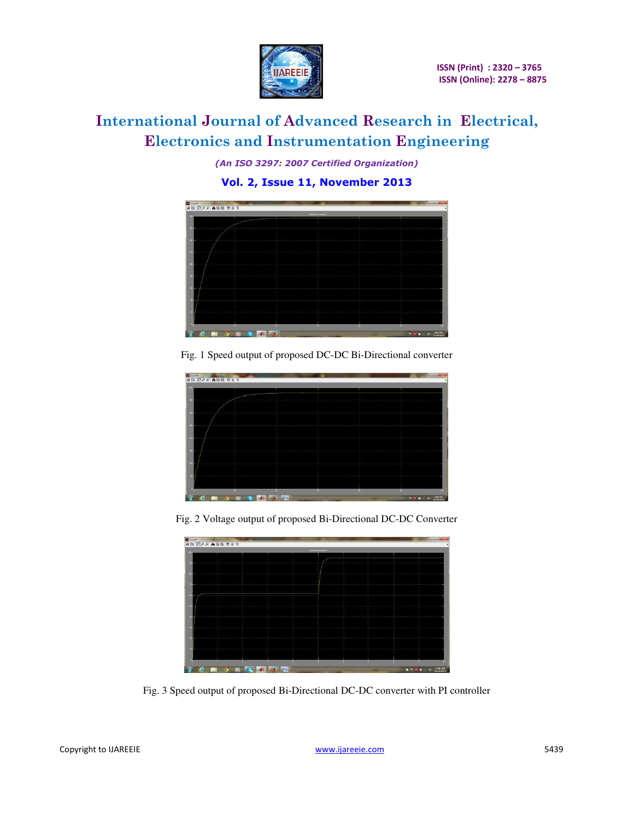

*(An ISO 3297: 2007 Certified Organization)* 

**Vol. 2, Issue 11, November 2013**



Fig. 1 Speed output of proposed DC-DC Bi-Directional converter



Fig. 2 Voltage output of proposed Bi-Directional DC-DC Converter



Fig. 3 Speed output of proposed Bi-Directional DC-DC converter with PI controller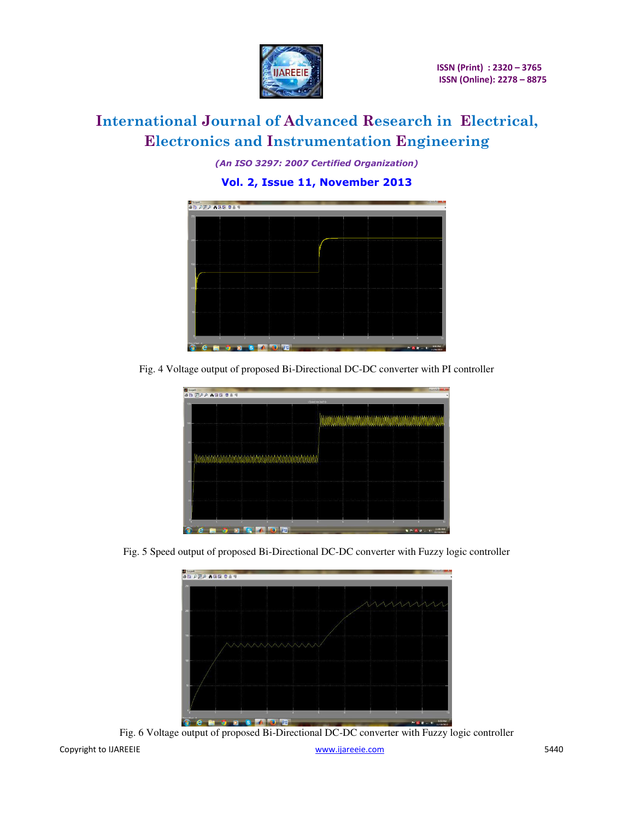

*(An ISO 3297: 2007 Certified Organization)* 

**Vol. 2, Issue 11, November 2013**



Fig. 4 Voltage output of proposed Bi-Directional DC-DC converter with PI controller



Fig. 5 Speed output of proposed Bi-Directional DC-DC converter with Fuzzy logic controller



Copyright to IJAREEIE **1996** SALL 2009 and the state of the state [www.ijareeie.com](http://www.ijareeie.com/) 5440 Fig. 6 Voltage output of proposed Bi-Directional DC-DC converter with Fuzzy logic controller